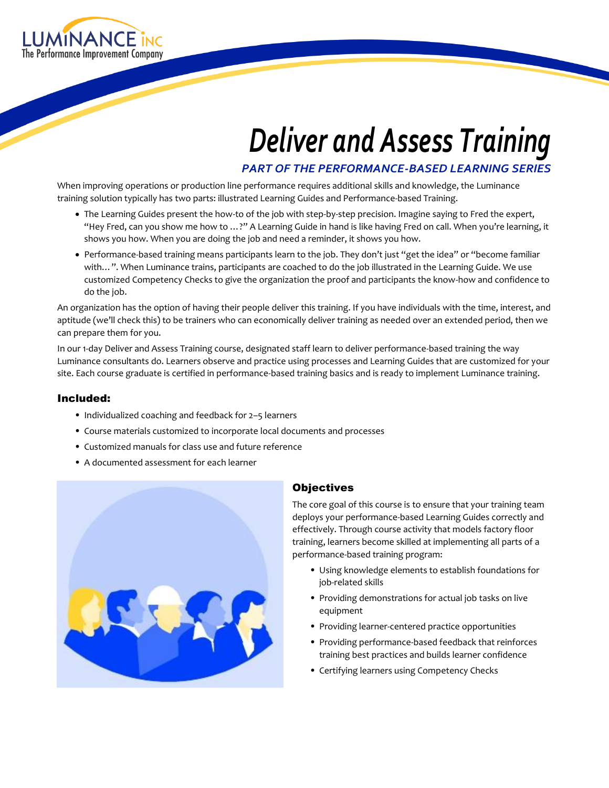

# *Deliver and Assess Training*

*PART OF THE PERFORMANCE-BASED LEARNING SERIES*

When improving operations or production line performance requires additional skills and knowledge, the Luminance training solution typically has two parts: illustrated Learning Guides and Performance-based Training.

- The Learning Guides present the how-to of the job with step-by-step precision. Imagine saying to Fred the expert, "Hey Fred, can you show me how to …?" A Learning Guide in hand is like having Fred on call. When you're learning, it shows you how. When you are doing the job and need a reminder, it shows you how.
- Performance-based training means participants learn to the job. They don't just "get the idea" or "become familiar with…". When Luminance trains, participants are coached to do the job illustrated in the Learning Guide. We use customized Competency Checks to give the organization the proof and participants the know-how and confidence to do the job.

An organization has the option of having their people deliver this training. If you have individuals with the time, interest, and aptitude (we'll check this) to be trainers who can economically deliver training as needed over an extended period, then we can prepare them for you.

In our 1-day Deliver and Assess Training course, designated staff learn to deliver performance-based training the way Luminance consultants do. Learners observe and practice using processes and Learning Guides that are customized for your site. Each course graduate is certified in performance-based training basics and is ready to implement Luminance training.

### Included:

- Individualized coaching and feedback for 2–5 learners
- Course materials customized to incorporate local documents and processes
- Customized manuals for class use and future reference
- A documented assessment for each learner



### **Objectives**

The core goal of this course is to ensure that your training team deploys your performance-based Learning Guides correctly and effectively. Through course activity that models factory floor training, learners become skilled at implementing all parts of a performance-based training program:

- Using knowledge elements to establish foundations for job-related skills
- Providing demonstrations for actual job tasks on live equipment
- Providing learner-centered practice opportunities
- Providing performance-based feedback that reinforces training best practices and builds learner confidence
- Certifying learners using Competency Checks